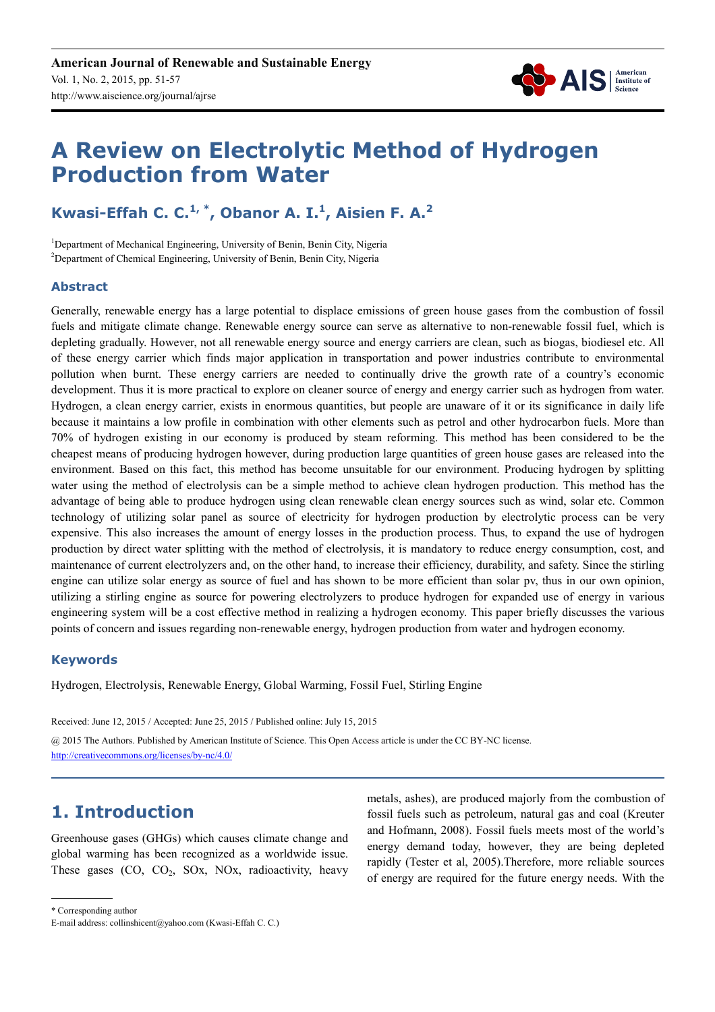

# **A Review on Electrolytic Method of Hydrogen Production from Water**

# **Kwasi-Effah C. C.1, \*, Obanor A. I.<sup>1</sup> , Aisien F. A.<sup>2</sup>**

<sup>1</sup>Department of Mechanical Engineering, University of Benin, Benin City, Nigeria <sup>2</sup>Department of Chemical Engineering, University of Benin, Benin City, Nigeria

### **Abstract**

Generally, renewable energy has a large potential to displace emissions of green house gases from the combustion of fossil fuels and mitigate climate change. Renewable energy source can serve as alternative to non-renewable fossil fuel, which is depleting gradually. However, not all renewable energy source and energy carriers are clean, such as biogas, biodiesel etc. All of these energy carrier which finds major application in transportation and power industries contribute to environmental pollution when burnt. These energy carriers are needed to continually drive the growth rate of a country's economic development. Thus it is more practical to explore on cleaner source of energy and energy carrier such as hydrogen from water. Hydrogen, a clean energy carrier, exists in enormous quantities, but people are unaware of it or its significance in daily life because it maintains a low profile in combination with other elements such as petrol and other hydrocarbon fuels. More than 70% of hydrogen existing in our economy is produced by steam reforming. This method has been considered to be the cheapest means of producing hydrogen however, during production large quantities of green house gases are released into the environment. Based on this fact, this method has become unsuitable for our environment. Producing hydrogen by splitting water using the method of electrolysis can be a simple method to achieve clean hydrogen production. This method has the advantage of being able to produce hydrogen using clean renewable clean energy sources such as wind, solar etc. Common technology of utilizing solar panel as source of electricity for hydrogen production by electrolytic process can be very expensive. This also increases the amount of energy losses in the production process. Thus, to expand the use of hydrogen production by direct water splitting with the method of electrolysis, it is mandatory to reduce energy consumption, cost, and maintenance of current electrolyzers and, on the other hand, to increase their efficiency, durability, and safety. Since the stirling engine can utilize solar energy as source of fuel and has shown to be more efficient than solar pv, thus in our own opinion, utilizing a stirling engine as source for powering electrolyzers to produce hydrogen for expanded use of energy in various engineering system will be a cost effective method in realizing a hydrogen economy. This paper briefly discusses the various points of concern and issues regarding non-renewable energy, hydrogen production from water and hydrogen economy.

### **Keywords**

Hydrogen, Electrolysis, Renewable Energy, Global Warming, Fossil Fuel, Stirling Engine

Received: June 12, 2015 / Accepted: June 25, 2015 / Published online: July 15, 2015

@ 2015 The Authors. Published by American Institute of Science. This Open Access article is under the CC BY-NC license. http://creativecommons.org/licenses/by-nc/4.0/

# **1. Introduction**

Greenhouse gases (GHGs) which causes climate change and global warming has been recognized as a worldwide issue. These gases  $(CO, CO<sub>2</sub>, SOx, NOx, radioactivity, heavy)$  metals, ashes), are produced majorly from the combustion of fossil fuels such as petroleum, natural gas and coal (Kreuter and Hofmann, 2008). Fossil fuels meets most of the world's energy demand today, however, they are being depleted rapidly (Tester et al, 2005).Therefore, more reliable sources of energy are required for the future energy needs. With the

\* Corresponding author

E-mail address: collinshicent@yahoo.com (Kwasi-Effah C. C.)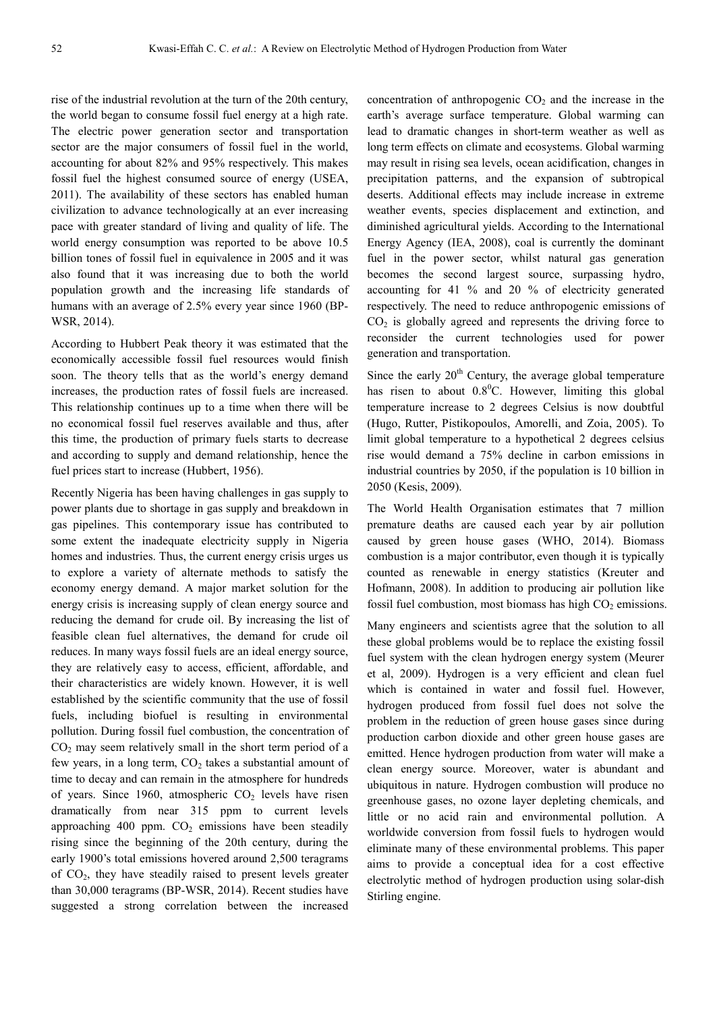rise of the industrial revolution at the turn of the 20th century, the world began to consume fossil fuel energy at a high rate. The electric power generation sector and transportation sector are the major consumers of fossil fuel in the world, accounting for about 82% and 95% respectively. This makes fossil fuel the highest consumed source of energy (USEA, 2011). The availability of these sectors has enabled human civilization to advance technologically at an ever increasing pace with greater standard of living and quality of life. The world energy consumption was reported to be above 10.5 billion tones of fossil fuel in equivalence in 2005 and it was also found that it was increasing due to both the world population growth and the increasing life standards of humans with an average of 2.5% every year since 1960 (BP-WSR, 2014).

According to Hubbert Peak theory it was estimated that the economically accessible fossil fuel resources would finish soon. The theory tells that as the world's energy demand increases, the production rates of fossil fuels are increased. This relationship continues up to a time when there will be no economical fossil fuel reserves available and thus, after this time, the production of primary fuels starts to decrease and according to supply and demand relationship, hence the fuel prices start to increase (Hubbert, 1956).

Recently Nigeria has been having challenges in gas supply to power plants due to shortage in gas supply and breakdown in gas pipelines. This contemporary issue has contributed to some extent the inadequate electricity supply in Nigeria homes and industries. Thus, the current energy crisis urges us to explore a variety of alternate methods to satisfy the economy energy demand. A major market solution for the energy crisis is increasing supply of clean energy source and reducing the demand for crude oil. By increasing the list of feasible clean fuel alternatives, the demand for crude oil reduces. In many ways fossil fuels are an ideal energy source, they are relatively easy to access, efficient, affordable, and their characteristics are widely known. However, it is well established by the scientific community that the use of fossil fuels, including biofuel is resulting in environmental pollution. During fossil fuel combustion, the concentration of  $CO<sub>2</sub>$  may seem relatively small in the short term period of a few years, in a long term,  $CO<sub>2</sub>$  takes a substantial amount of time to decay and can remain in the atmosphere for hundreds of years. Since 1960, atmospheric  $CO<sub>2</sub>$  levels have risen dramatically from near 315 ppm to current levels approaching 400 ppm.  $CO<sub>2</sub>$  emissions have been steadily rising since the beginning of the 20th century, during the early 1900's total emissions hovered around 2,500 teragrams of CO2, they have steadily raised to present levels greater than 30,000 teragrams (BP-WSR, 2014). Recent studies have suggested a strong correlation between the increased

concentration of anthropogenic  $CO<sub>2</sub>$  and the increase in the earth's average surface temperature. Global warming can lead to dramatic changes in short-term weather as well as long term effects on climate and ecosystems. Global warming may result in rising sea levels, ocean acidification, changes in precipitation patterns, and the expansion of subtropical deserts. Additional effects may include increase in extreme weather events, species displacement and extinction, and diminished agricultural yields. According to the International Energy Agency (IEA, 2008), coal is currently the dominant fuel in the power sector, whilst natural gas generation becomes the second largest source, surpassing hydro, accounting for 41 % and 20 % of electricity generated respectively. The need to reduce anthropogenic emissions of  $CO<sub>2</sub>$  is globally agreed and represents the driving force to reconsider the current technologies used for power generation and transportation.

Since the early  $20<sup>th</sup>$  Century, the average global temperature has risen to about  $0.8^{\circ}$ C. However, limiting this global temperature increase to 2 degrees Celsius is now doubtful (Hugo, Rutter, Pistikopoulos, Amorelli, and Zoia, 2005). To limit global temperature to a hypothetical 2 degrees celsius rise would demand a 75% decline in carbon emissions in industrial countries by 2050, if the population is 10 billion in 2050 (Kesis, 2009).

The World Health Organisation estimates that 7 million premature deaths are caused each year by air pollution caused by green house gases (WHO, 2014). Biomass combustion is a major contributor, even though it is typically counted as renewable in energy statistics (Kreuter and Hofmann, 2008). In addition to producing air pollution like fossil fuel combustion, most biomass has high  $CO<sub>2</sub>$  emissions.

Many engineers and scientists agree that the solution to all these global problems would be to replace the existing fossil fuel system with the clean hydrogen energy system (Meurer et al, 2009). Hydrogen is a very efficient and clean fuel which is contained in water and fossil fuel. However, hydrogen produced from fossil fuel does not solve the problem in the reduction of green house gases since during production carbon dioxide and other green house gases are emitted. Hence hydrogen production from water will make a clean energy source. Moreover, water is abundant and ubiquitous in nature. Hydrogen combustion will produce no greenhouse gases, no ozone layer depleting chemicals, and little or no acid rain and environmental pollution. A worldwide conversion from fossil fuels to hydrogen would eliminate many of these environmental problems. This paper aims to provide a conceptual idea for a cost effective electrolytic method of hydrogen production using solar-dish Stirling engine.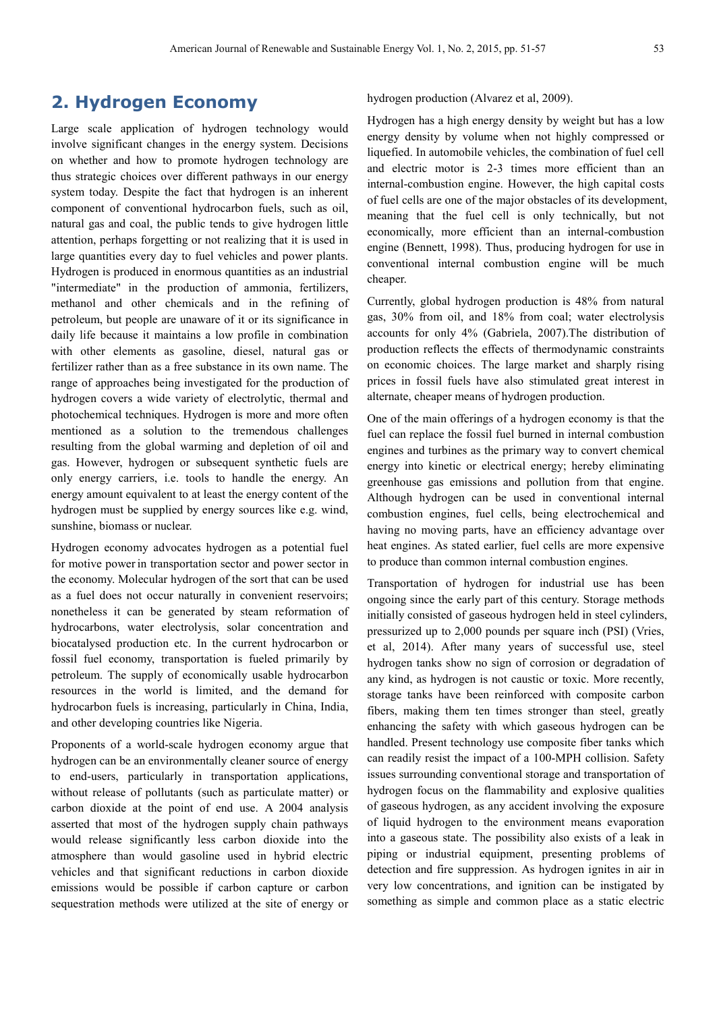# **2. Hydrogen Economy**

Large scale application of hydrogen technology would involve significant changes in the energy system. Decisions on whether and how to promote hydrogen technology are thus strategic choices over different pathways in our energy system today. Despite the fact that hydrogen is an inherent component of conventional hydrocarbon fuels, such as oil, natural gas and coal, the public tends to give hydrogen little attention, perhaps forgetting or not realizing that it is used in large quantities every day to fuel vehicles and power plants. Hydrogen is produced in enormous quantities as an industrial "intermediate" in the production of ammonia, fertilizers, methanol and other chemicals and in the refining of petroleum, but people are unaware of it or its significance in daily life because it maintains a low profile in combination with other elements as gasoline, diesel, natural gas or fertilizer rather than as a free substance in its own name. The range of approaches being investigated for the production of hydrogen covers a wide variety of electrolytic, thermal and photochemical techniques. Hydrogen is more and more often mentioned as a solution to the tremendous challenges resulting from the global warming and depletion of oil and gas. However, hydrogen or subsequent synthetic fuels are only energy carriers, i.e. tools to handle the energy. An energy amount equivalent to at least the energy content of the hydrogen must be supplied by energy sources like e.g. wind, sunshine, biomass or nuclear.

Hydrogen economy advocates hydrogen as a potential fuel for motive power in transportation sector and power sector in the economy. Molecular hydrogen of the sort that can be used as a fuel does not occur naturally in convenient reservoirs; nonetheless it can be generated by steam reformation of hydrocarbons, water electrolysis, solar concentration and biocatalysed production etc. In the current hydrocarbon or fossil fuel economy, transportation is fueled primarily by petroleum. The supply of economically usable hydrocarbon resources in the world is limited, and the demand for hydrocarbon fuels is increasing, particularly in China, India, and other developing countries like Nigeria.

Proponents of a world-scale hydrogen economy argue that hydrogen can be an environmentally cleaner source of energy to end-users, particularly in transportation applications, without release of pollutants (such as particulate matter) or carbon dioxide at the point of end use. A 2004 analysis asserted that most of the hydrogen supply chain pathways would release significantly less carbon dioxide into the atmosphere than would gasoline used in hybrid electric vehicles and that significant reductions in carbon dioxide emissions would be possible if carbon capture or carbon sequestration methods were utilized at the site of energy or hydrogen production (Alvarez et al, 2009).

Hydrogen has a high energy density by weight but has a low energy density by volume when not highly compressed or liquefied. In automobile vehicles, the combination of fuel cell and electric motor is 2-3 times more efficient than an internal-combustion engine. However, the high capital costs of fuel cells are one of the major obstacles of its development, meaning that the fuel cell is only technically, but not economically, more efficient than an internal-combustion engine (Bennett, 1998). Thus, producing hydrogen for use in conventional internal combustion engine will be much cheaper.

Currently, global hydrogen production is 48% from natural gas, 30% from oil, and 18% from coal; water electrolysis accounts for only 4% (Gabriela, 2007).The distribution of production reflects the effects of thermodynamic constraints on economic choices. The large market and sharply rising prices in fossil fuels have also stimulated great interest in alternate, cheaper means of hydrogen production.

One of the main offerings of a hydrogen economy is that the fuel can replace the fossil fuel burned in internal combustion engines and turbines as the primary way to convert chemical energy into kinetic or electrical energy; hereby eliminating greenhouse gas emissions and pollution from that engine. Although hydrogen can be used in conventional internal combustion engines, fuel cells, being electrochemical and having no moving parts, have an efficiency advantage over heat engines. As stated earlier, fuel cells are more expensive to produce than common internal combustion engines.

Transportation of hydrogen for industrial use has been ongoing since the early part of this century. Storage methods initially consisted of gaseous hydrogen held in steel cylinders, pressurized up to 2,000 pounds per square inch (PSI) (Vries, et al, 2014). After many years of successful use, steel hydrogen tanks show no sign of corrosion or degradation of any kind, as hydrogen is not caustic or toxic. More recently, storage tanks have been reinforced with composite carbon fibers, making them ten times stronger than steel, greatly enhancing the safety with which gaseous hydrogen can be handled. Present technology use composite fiber tanks which can readily resist the impact of a 100-MPH collision. Safety issues surrounding conventional storage and transportation of hydrogen focus on the flammability and explosive qualities of gaseous hydrogen, as any accident involving the exposure of liquid hydrogen to the environment means evaporation into a gaseous state. The possibility also exists of a leak in piping or industrial equipment, presenting problems of detection and fire suppression. As hydrogen ignites in air in very low concentrations, and ignition can be instigated by something as simple and common place as a static electric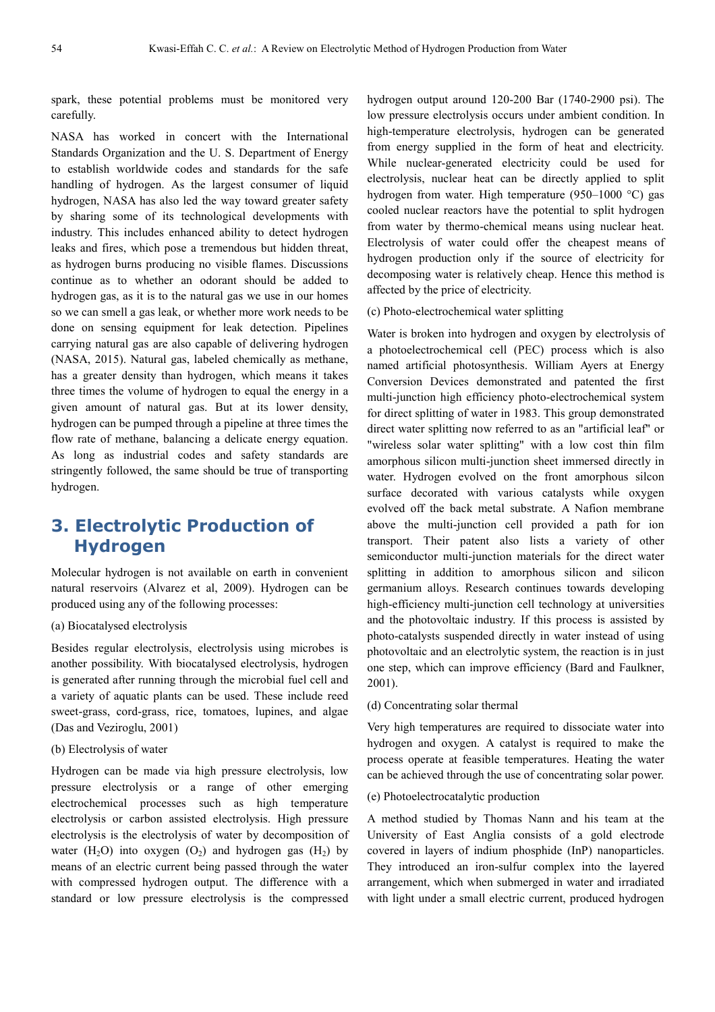spark, these potential problems must be monitored very carefully.

NASA has worked in concert with the International Standards Organization and the U. S. Department of Energy to establish worldwide codes and standards for the safe handling of hydrogen. As the largest consumer of liquid hydrogen, NASA has also led the way toward greater safety by sharing some of its technological developments with industry. This includes enhanced ability to detect hydrogen leaks and fires, which pose a tremendous but hidden threat, as hydrogen burns producing no visible flames. Discussions continue as to whether an odorant should be added to hydrogen gas, as it is to the natural gas we use in our homes so we can smell a gas leak, or whether more work needs to be done on sensing equipment for leak detection. Pipelines carrying natural gas are also capable of delivering hydrogen (NASA, 2015). Natural gas, labeled chemically as methane, has a greater density than hydrogen, which means it takes three times the volume of hydrogen to equal the energy in a given amount of natural gas. But at its lower density, hydrogen can be pumped through a pipeline at three times the flow rate of methane, balancing a delicate energy equation. As long as industrial codes and safety standards are stringently followed, the same should be true of transporting hydrogen.

# **3. Electrolytic Production of Hydrogen**

Molecular hydrogen is not available on earth in convenient natural reservoirs (Alvarez et al, 2009). Hydrogen can be produced using any of the following processes:

#### (a) Biocatalysed electrolysis

Besides regular electrolysis, electrolysis using microbes is another possibility. With biocatalysed electrolysis, hydrogen is generated after running through the microbial fuel cell and a variety of aquatic plants can be used. These include reed sweet-grass, cord-grass, rice, tomatoes, lupines, and algae (Das and Veziroglu, 2001)

### (b) Electrolysis of water

Hydrogen can be made via high pressure electrolysis, low pressure electrolysis or a range of other emerging electrochemical processes such as high temperature electrolysis or carbon assisted electrolysis. High pressure electrolysis is the electrolysis of water by decomposition of water (H<sub>2</sub>O) into oxygen  $(O_2)$  and hydrogen gas (H<sub>2</sub>) by means of an electric current being passed through the water with compressed hydrogen output. The difference with a standard or low pressure electrolysis is the compressed hydrogen output around 120-200 Bar (1740-2900 psi). The low pressure electrolysis occurs under ambient condition. In high-temperature electrolysis, hydrogen can be generated from energy supplied in the form of heat and electricity. While nuclear-generated electricity could be used for electrolysis, nuclear heat can be directly applied to split hydrogen from water. High temperature (950–1000 °C) gas cooled nuclear reactors have the potential to split hydrogen from water by thermo-chemical means using nuclear heat. Electrolysis of water could offer the cheapest means of hydrogen production only if the source of electricity for decomposing water is relatively cheap. Hence this method is affected by the price of electricity.

(c) Photo-electrochemical water splitting

Water is broken into hydrogen and oxygen by electrolysis of a photoelectrochemical cell (PEC) process which is also named artificial photosynthesis. William Ayers at Energy Conversion Devices demonstrated and patented the first multi-junction high efficiency photo-electrochemical system for direct splitting of water in 1983. This group demonstrated direct water splitting now referred to as an "artificial leaf" or "wireless solar water splitting" with a low cost thin film amorphous silicon multi-junction sheet immersed directly in water. Hydrogen evolved on the front amorphous silcon surface decorated with various catalysts while oxygen evolved off the back metal substrate. A Nafion membrane above the multi-junction cell provided a path for ion transport. Their patent also lists a variety of other semiconductor multi-junction materials for the direct water splitting in addition to amorphous silicon and silicon germanium alloys. Research continues towards developing high-efficiency multi-junction cell technology at universities and the photovoltaic industry. If this process is assisted by photo-catalysts suspended directly in water instead of using photovoltaic and an electrolytic system, the reaction is in just one step, which can improve efficiency (Bard and Faulkner, 2001).

#### (d) Concentrating solar thermal

Very high temperatures are required to dissociate water into hydrogen and oxygen. A catalyst is required to make the process operate at feasible temperatures. Heating the water can be achieved through the use of concentrating solar power.

### (e) Photoelectrocatalytic production

A method studied by Thomas Nann and his team at the University of East Anglia consists of a gold electrode covered in layers of indium phosphide (InP) nanoparticles. They introduced an iron-sulfur complex into the layered arrangement, which when submerged in water and irradiated with light under a small electric current, produced hydrogen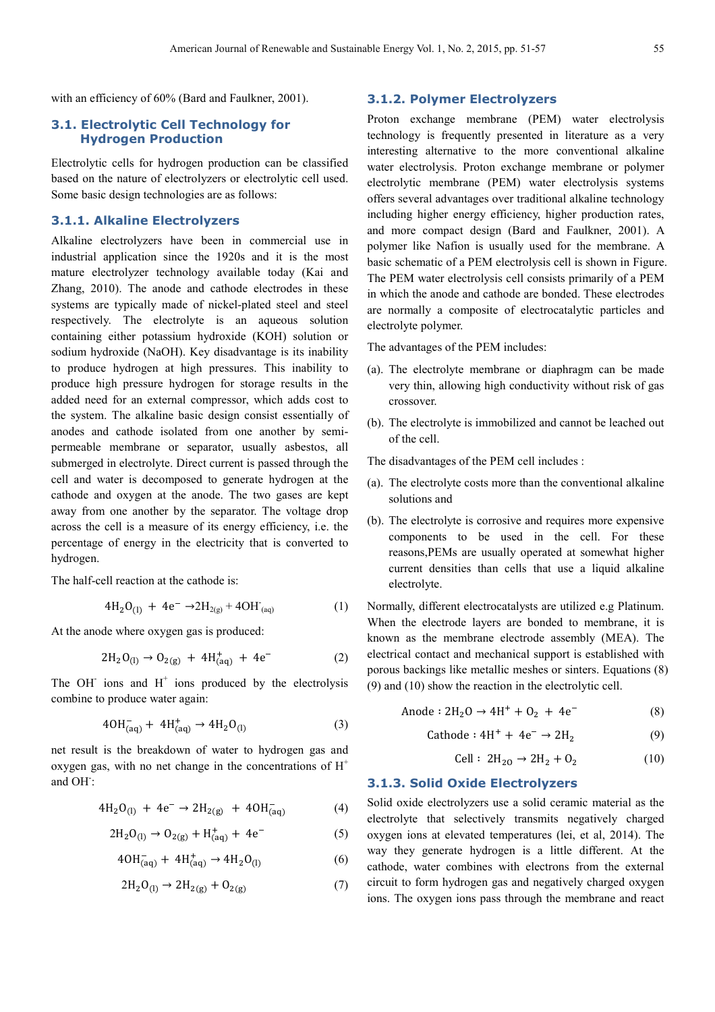with an efficiency of 60% (Bard and Faulkner, 2001).

### **3.1. Electrolytic Cell Technology for Hydrogen Production**

Electrolytic cells for hydrogen production can be classified based on the nature of electrolyzers or electrolytic cell used. Some basic design technologies are as follows:

### **3.1.1. Alkaline Electrolyzers**

Alkaline electrolyzers have been in commercial use in industrial application since the 1920s and it is the most mature electrolyzer technology available today (Kai and Zhang, 2010). The anode and cathode electrodes in these systems are typically made of nickel-plated steel and steel respectively. The electrolyte is an aqueous solution containing either potassium hydroxide (KOH) solution or sodium hydroxide (NaOH). Key disadvantage is its inability to produce hydrogen at high pressures. This inability to produce high pressure hydrogen for storage results in the added need for an external compressor, which adds cost to the system. The alkaline basic design consist essentially of anodes and cathode isolated from one another by semipermeable membrane or separator, usually asbestos, all submerged in electrolyte. Direct current is passed through the cell and water is decomposed to generate hydrogen at the cathode and oxygen at the anode. The two gases are kept away from one another by the separator. The voltage drop across the cell is a measure of its energy efficiency, i.e. the percentage of energy in the electricity that is converted to hydrogen.

The half-cell reaction at the cathode is:

$$
4H_2O_{(1)} + 4e^- \rightarrow 2H_{2(g)} + 4OH_{(aq)} \tag{1}
$$

At the anode where oxygen gas is produced:

$$
2H_2O_{(1)} \to O_{2(g)} + 4H^+_{(aq)} + 4e^-
$$
 (2)

The OH $^-$  ions and H $^+$  ions produced by the electrolysis combine to produce water again:

$$
40H_{(aq)}^- + 4H_{(aq)}^+ \rightarrow 4H_2O_{(l)} \tag{3}
$$

net result is the breakdown of water to hydrogen gas and oxygen gas, with no net change in the concentrations of  $H^+$ and OH:

$$
4H_2O_{(1)} + 4e^- \rightarrow 2H_{2(g)} + 4OH_{(aq)}^-
$$
 (4)

$$
2H_2O_{(1)} \rightarrow O_{2(g)} + H^+_{(aq)} + 4e^-
$$
 (5)

$$
40H_{(aq)}^- + 4H_{(aq)}^+ \rightarrow 4H_2O_{(l)} \tag{6}
$$

$$
2H_2O_{(1)} \to 2H_{2(g)} + O_{2(g)} \tag{7}
$$

### **3.1.2. Polymer Electrolyzers**

Proton exchange membrane (PEM) water electrolysis technology is frequently presented in literature as a very interesting alternative to the more conventional alkaline water electrolysis. Proton exchange membrane or polymer electrolytic membrane (PEM) water electrolysis systems offers several advantages over traditional alkaline technology including higher energy efficiency, higher production rates, and more compact design (Bard and Faulkner, 2001). A polymer like Nafion is usually used for the membrane. A basic schematic of a PEM electrolysis cell is shown in Figure. The PEM water electrolysis cell consists primarily of a PEM in which the anode and cathode are bonded. These electrodes are normally a composite of electrocatalytic particles and electrolyte polymer.

The advantages of the PEM includes:

- (a). The electrolyte membrane or diaphragm can be made very thin, allowing high conductivity without risk of gas crossover.
- (b). The electrolyte is immobilized and cannot be leached out of the cell.

The disadvantages of the PEM cell includes :

- (a). The electrolyte costs more than the conventional alkaline solutions and
- (b). The electrolyte is corrosive and requires more expensive components to be used in the cell. For these reasons,PEMs are usually operated at somewhat higher current densities than cells that use a liquid alkaline electrolyte.

Normally, different electrocatalysts are utilized e.g Platinum. When the electrode layers are bonded to membrane, it is known as the membrane electrode assembly (MEA). The electrical contact and mechanical support is established with porous backings like metallic meshes or sinters. Equations (8) (9) and (10) show the reaction in the electrolytic cell.

Anode : 
$$
2H_2O \rightarrow 4H^+ + O_2 + 4e^-
$$
 (8)

$$
Cathode: 4H+ + 4e- \rightarrow 2H2
$$
 (9)

$$
Cell: 2H_{20} \to 2H_2 + 0_2 \tag{10}
$$

#### **3.1.3. Solid Oxide Electrolyzers**

Solid oxide electrolyzers use a solid ceramic material as the electrolyte that selectively transmits negatively charged oxygen ions at elevated temperatures (lei, et al, 2014). The way they generate hydrogen is a little different. At the cathode, water combines with electrons from the external circuit to form hydrogen gas and negatively charged oxygen ions. The oxygen ions pass through the membrane and react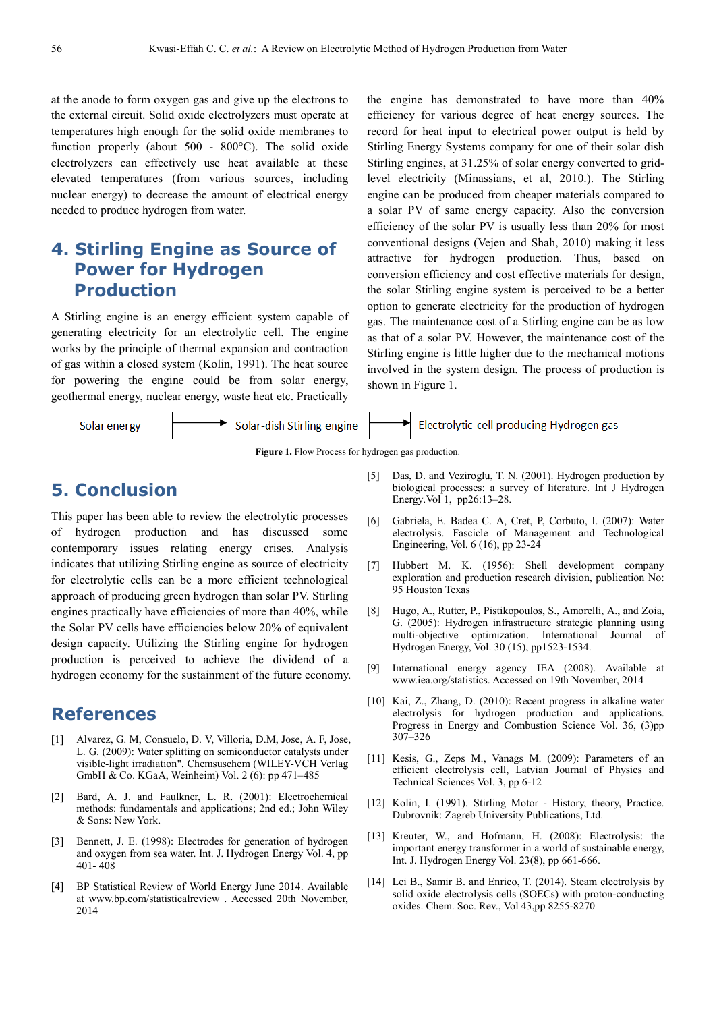at the anode to form oxygen gas and give up the electrons to the external circuit. Solid oxide electrolyzers must operate at temperatures high enough for the solid oxide membranes to function properly (about 500 - 800°C). The solid oxide electrolyzers can effectively use heat available at these elevated temperatures (from various sources, including nuclear energy) to decrease the amount of electrical energy needed to produce hydrogen from water.

# **4. Stirling Engine as Source of Power for Hydrogen Production**

A Stirling engine is an energy efficient system capable of generating electricity for an electrolytic cell. The engine works by the principle of thermal expansion and contraction of gas within a closed system (Kolin, 1991). The heat source for powering the engine could be from solar energy, geothermal energy, nuclear energy, waste heat etc. Practically the engine has demonstrated to have more than 40% efficiency for various degree of heat energy sources. The record for heat input to electrical power output is held by Stirling Energy Systems company for one of their solar dish Stirling engines, at 31.25% of solar energy converted to gridlevel electricity (Minassians, et al, 2010.). The Stirling engine can be produced from cheaper materials compared to a solar PV of same energy capacity. Also the conversion efficiency of the solar PV is usually less than 20% for most conventional designs (Vejen and Shah, 2010) making it less attractive for hydrogen production. Thus, based on conversion efficiency and cost effective materials for design, the solar Stirling engine system is perceived to be a better option to generate electricity for the production of hydrogen gas. The maintenance cost of a Stirling engine can be as low as that of a solar PV. However, the maintenance cost of the Stirling engine is little higher due to the mechanical motions involved in the system design. The process of production is shown in Figure 1.



**Figure 1.** Flow Process for hydrogen gas production.

# **5. Conclusion**

This paper has been able to review the electrolytic processes of hydrogen production and has discussed some contemporary issues relating energy crises. Analysis indicates that utilizing Stirling engine as source of electricity for electrolytic cells can be a more efficient technological approach of producing green hydrogen than solar PV. Stirling engines practically have efficiencies of more than 40%, while the Solar PV cells have efficiencies below 20% of equivalent design capacity. Utilizing the Stirling engine for hydrogen production is perceived to achieve the dividend of a hydrogen economy for the sustainment of the future economy.

## **References**

- [1] Alvarez, G. M, Consuelo, D. V, Villoria, D.M, Jose, A. F, Jose, L. G. (2009): Water splitting on semiconductor catalysts under visible-light irradiation". Chemsuschem (WILEY-VCH Verlag GmbH & Co. KGaA, Weinheim) Vol. 2 (6): pp 471–485
- [2] Bard, A. J. and Faulkner, L. R. (2001): Electrochemical methods: fundamentals and applications; 2nd ed.; John Wiley & Sons: New York.
- [3] Bennett, J. E. (1998): Electrodes for generation of hydrogen and oxygen from sea water. Int. J. Hydrogen Energy Vol. 4, pp 401- 408
- [4] BP Statistical Review of World Energy June 2014. Available at www.bp.com/statisticalreview . Accessed 20th November, 2014
- [5] Das, D. and Veziroglu, T. N. (2001). Hydrogen production by biological processes: a survey of literature. Int J Hydrogen Energy.Vol 1, pp26:13–28.
- [6] Gabriela, E. Badea C. A, Cret, P, Corbuto, I. (2007): Water electrolysis. Fascicle of Management and Technological Engineering, Vol. 6 (16), pp 23-24
- [7] Hubbert M. K. (1956): Shell development company exploration and production research division, publication No: 95 Houston Texas
- [8] Hugo, A., Rutter, P., Pistikopoulos, S., Amorelli, A., and Zoia, G. (2005): Hydrogen infrastructure strategic planning using multi-objective optimization. International Journal of Hydrogen Energy, Vol. 30 (15), pp1523-1534.
- [9] International energy agency IEA (2008). Available at www.iea.org/statistics. Accessed on 19th November, 2014
- [10] Kai, Z., Zhang, D. (2010): Recent progress in alkaline water electrolysis for hydrogen production and applications. Progress in Energy and Combustion Science Vol. 36, (3)pp 307–326
- [11] Kesis, G., Zeps M., Vanags M. (2009): Parameters of an efficient electrolysis cell, Latvian Journal of Physics and Technical Sciences Vol. 3, pp 6-12
- [12] Kolin, I. (1991). Stirling Motor History, theory, Practice. Dubrovnik: Zagreb University Publications, Ltd.
- [13] Kreuter, W., and Hofmann, H. (2008): Electrolysis: the important energy transformer in a world of sustainable energy, Int. J. Hydrogen Energy Vol. 23(8), pp 661-666.
- [14] Lei B., Samir B. and Enrico, T. (2014). Steam electrolysis by solid oxide electrolysis cells (SOECs) with proton-conducting oxides. Chem. Soc. Rev., Vol 43,pp 8255-8270